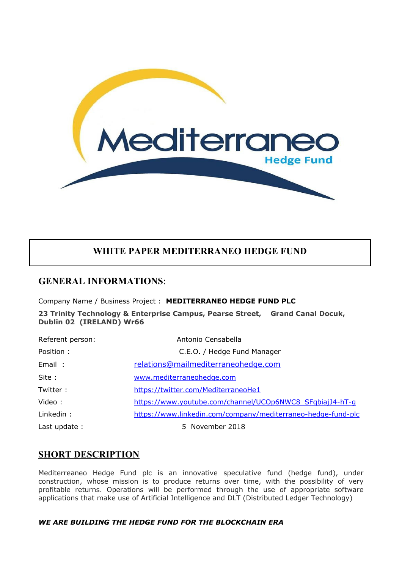

# **WHITE PAPER MEDITERRANEO HEDGE FUND**

## **GENERAL INFORMATIONS**:

Company Name / Business Project : **MEDITERRANEO HEDGE FUND PLC**

**23 Trinity Technology & Enterprise Campus, Pearse Street, Grand Canal Docuk, Dublin 02 (IRELAND) Wr66** 

| Referent person: | Antonio Censabella                                           |
|------------------|--------------------------------------------------------------|
| Position :       | C.E.O. / Hedge Fund Manager                                  |
| Email:           | relations@mailmediterraneohedge.com                          |
| Site:            | www.mediterraneohedge.com                                    |
| Twitter:         | https://twitter.com/MediterraneoHe1                          |
| Video:           | https://www.youtube.com/channel/UCOp6NWC8 SFqbiajJ4-hT-q     |
| Linkedin:        | https://www.linkedin.com/company/mediterraneo-hedge-fund-plc |
| Last update:     | 5 November 2018                                              |

## **SHORT DESCRIPTION**

Mediterreaneo Hedge Fund plc is an innovative speculative fund (hedge fund), under construction, whose mission is to produce returns over time, with the possibility of very profitable returns. Operations will be performed through the use of appropriate software applications that make use of Artificial Intelligence and DLT (Distributed Ledger Technology)

## *WE ARE BUILDING THE HEDGE FUND FOR THE BLOCKCHAIN ERA*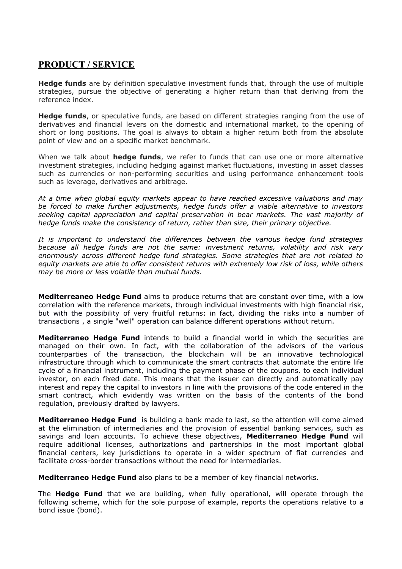# **PRODUCT / SERVICE**

**Hedge funds** are by definition speculative investment funds that, through the use of multiple strategies, pursue the objective of generating a higher return than that deriving from the reference index.

**Hedge funds**, or speculative funds, are based on different strategies ranging from the use of derivatives and financial levers on the domestic and international market, to the opening of short or long positions. The goal is always to obtain a higher return both from the absolute point of view and on a specific market benchmark.

When we talk about **hedge funds**, we refer to funds that can use one or more alternative investment strategies, including hedging against market fluctuations, investing in asset classes such as currencies or non-performing securities and using performance enhancement tools such as leverage, derivatives and arbitrage.

*At a time when global equity markets appear to have reached excessive valuations and may be forced to make further adjustments, hedge funds offer a viable alternative to investors seeking capital appreciation and capital preservation in bear markets. The vast majority of hedge funds make the consistency of return, rather than size, their primary objective.*

*It is important to understand the differences between the various hedge fund strategies because all hedge funds are not the same: investment returns, volatility and risk vary enormously across different hedge fund strategies. Some strategies that are not related to equity markets are able to offer consistent returns with extremely low risk of loss, while others may be more or less volatile than mutual funds.*

**Mediterreaneo Hedge Fund** aims to produce returns that are constant over time, with a low correlation with the reference markets, through individual investments with high financial risk, but with the possibility of very fruitful returns: in fact, dividing the risks into a number of transactions , a single "well" operation can balance different operations without return.

**Mediterraneo Hedge Fund** intends to build a financial world in which the securities are managed on their own. In fact, with the collaboration of the advisors of the various counterparties of the transaction, the blockchain will be an innovative technological infrastructure through which to communicate the smart contracts that automate the entire life cycle of a financial instrument, including the payment phase of the coupons. to each individual investor, on each fixed date. This means that the issuer can directly and automatically pay interest and repay the capital to investors in line with the provisions of the code entered in the smart contract, which evidently was written on the basis of the contents of the bond regulation, previously drafted by lawyers.

**Mediterraneo Hedge Fund** is building a bank made to last, so the attention will come aimed at the elimination of intermediaries and the provision of essential banking services, such as savings and loan accounts. To achieve these objectives, **Mediterraneo Hedge Fund** will require additional licenses, authorizations and partnerships in the most important global financial centers, key jurisdictions to operate in a wider spectrum of fiat currencies and facilitate cross-border transactions without the need for intermediaries.

**Mediterraneo Hedge Fund** also plans to be a member of key financial networks.

The **Hedge Fund** that we are building, when fully operational, will operate through the following scheme, which for the sole purpose of example, reports the operations relative to a bond issue (bond).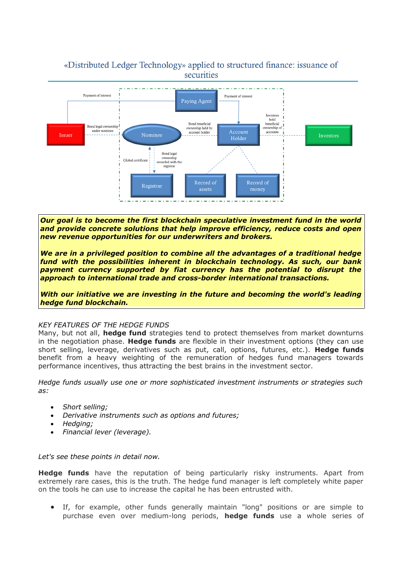## «Distributed Ledger Technology» applied to structured finance: issuance of securities



*Our goal is to become the first blockchain speculative investment fund in the world and provide concrete solutions that help improve efficiency, reduce costs and open new revenue opportunities for our underwriters and brokers.*

*We are in a privileged position to combine all the advantages of a traditional hedge fund with the possibilities inherent in blockchain technology. As such, our bank payment currency supported by fiat currency has the potential to disrupt the approach to international trade and cross-border international transactions.*

*With our initiative we are investing in the future and becoming the world's leading hedge fund blockchain.*

## *KEY FEATURES OF THE HEDGE FUNDS*

Many, but not all, **hedge fund** strategies tend to protect themselves from market downturns in the negotiation phase. **Hedge funds** are flexible in their investment options (they can use short selling, leverage, derivatives such as put, call, options, futures, etc.). **Hedge funds** benefit from a heavy weighting of the remuneration of hedges fund managers towards performance incentives, thus attracting the best brains in the investment sector.

*Hedge funds usually use one or more sophisticated investment instruments or strategies such as:*

- *Short selling;*
- *Derivative instruments such as options and futures;*
- *Hedging;*
- *Financial lever (leverage).*

*Let's see these points in detail now.*

**Hedge funds** have the reputation of being particularly risky instruments. Apart from extremely rare cases, this is the truth. The hedge fund manager is left completely white paper on the tools he can use to increase the capital he has been entrusted with.

 If, for example, other funds generally maintain "long" positions or are simple to purchase even over medium-long periods, **hedge funds** use a whole series of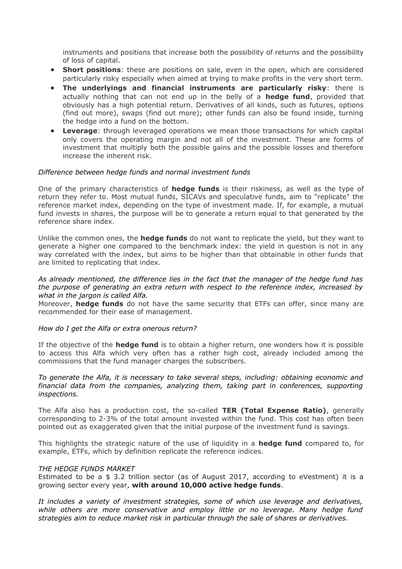instruments and positions that increase both the possibility of returns and the possibility of loss of capital.

- **Short positions**: these are positions on sale, even in the open, which are considered particularly risky especially when aimed at trying to make profits in the very short term.
- **The underlyings and financial instruments are particularly risky**: there is actually nothing that can not end up in the belly of a **hedge fund**, provided that obviously has a high potential return. Derivatives of all kinds, such as futures, options (find out more), swaps (find out more); other funds can also be found inside, turning the hedge into a fund on the bottom.
- **Leverage**: through leveraged operations we mean those transactions for which capital only covers the operating margin and not all of the investment. These are forms of investment that multiply both the possible gains and the possible losses and therefore increase the inherent risk.

#### *Difference between hedge funds and normal investment funds*

One of the primary characteristics of **hedge funds** is their riskiness, as well as the type of return they refer to. Most mutual funds, SICAVs and speculative funds, aim to "replicate" the reference market index, depending on the type of investment made. If, for example, a mutual fund invests in shares, the purpose will be to generate a return equal to that generated by the reference share index.

Unlike the common ones, the **hedge funds** do not want to replicate the yield, but they want to generate a higher one compared to the benchmark index: the yield in question is not in any way correlated with the index, but aims to be higher than that obtainable in other funds that are limited to replicating that index.

*As already mentioned, the difference lies in the fact that the manager of the hedge fund has the purpose of generating an extra return with respect to the reference index, increased by what in the jargon is called Alfa.*

Moreover, **hedge funds** do not have the same security that ETFs can offer, since many are recommended for their ease of management.

#### *How do I get the Alfa or extra onerous return?*

If the objective of the **hedge fund** is to obtain a higher return, one wonders how it is possible to access this Alfa which very often has a rather high cost, already included among the commissions that the fund manager charges the subscribers.

*To generate the Alfa, it is necessary to take several steps, including: obtaining economic and financial data from the companies, analyzing them, taking part in conferences, supporting inspections.*

The Alfa also has a production cost, the so-called **TER (Total Expense Ratio)**, generally corresponding to 2-3% of the total amount invested within the fund. This cost has often been pointed out as exaggerated given that the initial purpose of the investment fund is savings.

This highlights the strategic nature of the use of liquidity in a **hedge fund** compared to, for example, ETFs, which by definition replicate the reference indices.

#### *THE HEDGE FUNDS MARKET*

Estimated to be a \$ 3.2 trillion sector (as of August 2017, according to eVestment) it is a growing sector every year, **with around 10,000 active hedge funds**.

*It includes a variety of investment strategies, some of which use leverage and derivatives, while others are more conservative and employ little or no leverage. Many hedge fund strategies aim to reduce market risk in particular through the sale of shares or derivatives.*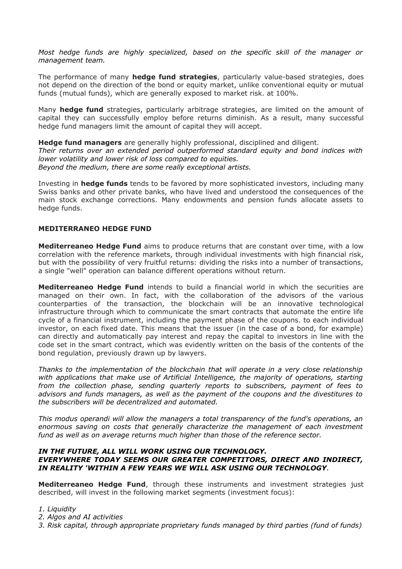*Most hedge funds are highly specialized, based on the specific skill of the manager or management team.*

The performance of many **hedge fund strategies**, particularly value-based strategies, does not depend on the direction of the bond or equity market, unlike conventional equity or mutual funds (mutual funds), which are generally exposed to market risk. at 100%.

Many **hedge fund** strategies, particularly arbitrage strategies, are limited on the amount of capital they can successfully employ before returns diminish. As a result, many successful hedge fund managers limit the amount of capital they will accept.

**Hedge fund managers** are generally highly professional, disciplined and diligent. *Their returns over an extended period outperformed standard equity and bond indices with lower volatility and lower risk of loss compared to equities. Beyond the medium, there are some really exceptional artists.*

Investing in **hedge funds** tends to be favored by more sophisticated investors, including many Swiss banks and other private banks, who have lived and understood the consequences of the main stock exchange corrections. Many endowments and pension funds allocate assets to hedge funds.

## **MEDITERRANEO HEDGE FUND**

**Mediterreaneo Hedge Fund** aims to produce returns that are constant over time, with a low correlation with the reference markets, through individual investments with high financial risk, but with the possibility of very fruitful returns: dividing the risks into a number of transactions, a single "well" operation can balance different operations without return.

**Mediterreaneo Hedge Fund** intends to build a financial world in which the securities are managed on their own. In fact, with the collaboration of the advisors of the various counterparties of the transaction, the blockchain will be an innovative technological infrastructure through which to communicate the smart contracts that automate the entire life cycle of a financial instrument, including the payment phase of the coupons. to each individual investor, on each fixed date. This means that the issuer (in the case of a bond, for example) can directly and automatically pay interest and repay the capital to investors in line with the code set in the smart contract, which was evidently written on the basis of the contents of the bond regulation, previously drawn up by lawyers.

*Thanks to the implementation of the blockchain that will operate in a very close relationship with applications that make use of Artificial Intelligence, the majority of operations, starting from the collection phase, sending quarterly reports to subscribers, payment of fees to advisors and funds managers, as well as the payment of the coupons and the divestitures to the subscribers will be decentralized and automated.*

*This modus operandi will allow the managers a total transparency of the fund's operations, an enormous saving on costs that generally characterize the management of each investment fund as well as on average returns much higher than those of the reference sector.*

#### *IN THE FUTURE, ALL WILL WORK USING OUR TECHNOLOGY. EVERYWHERE TODAY SEEMS OUR GREATER COMPETITORS, DIRECT AND INDIRECT, IN REALITY 'WITHIN A FEW YEARS WE WILL ASK USING OUR TECHNOLOGY.*

**Mediterreaneo Hedge Fund**, through these instruments and investment strategies just described, will invest in the following market segments (investment focus):

- *1. Liquidity*
- *2. Algos and AI activities*
- *3. Risk capital, through appropriate proprietary funds managed by third parties (fund of funds)*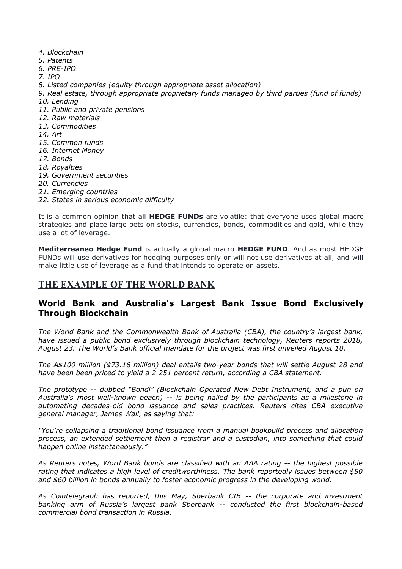- *4. Blockchain*
- *5. Patents*
- *6. PRE-IPO*
- *7. IPO*
- *8. Listed companies (equity through appropriate asset allocation)*
- *9. Real estate, through appropriate proprietary funds managed by third parties (fund of funds) 10. Lending*
- *11. Public and private pensions*
- *12. Raw materials*
- *13. Commodities*
- *14. Art*
- *15. Common funds*
- *16. Internet Money*
- *17. Bonds*
- *18. Royalties*
- *19. Government securities*
- *20. Currencies*
- *21. Emerging countries*
- *22. States in serious economic difficulty*

It is a common opinion that all **HEDGE FUNDs** are volatile: that everyone uses global macro strategies and place large bets on stocks, currencies, bonds, commodities and gold, while they use a lot of leverage.

**Mediterreaneo Hedge Fund** is actually a global macro **HEDGE FUND**. And as most HEDGE FUNDs will use derivatives for hedging purposes only or will not use derivatives at all, and will make little use of leverage as a fund that intends to operate on assets.

# **THE EXAMPLE OF THE WORLD BANK**

## **World Bank and Australia's Largest Bank Issue Bond Exclusively Through Blockchain**

*The World Bank and the Commonwealth Bank of Australia (CBA), the country's largest bank, have issued a public bond exclusively through blockchain technology, Reuters reports 2018, August 23. The World's Bank official mandate for the project was first unveiled August 10.*

*The A\$100 million (\$73.16 million) deal entails two-year bonds that will settle August 28 and have been been priced to yield a 2.251 percent return, according a CBA statement.*

*The prototype -- dubbed "Bondi" (Blockchain Operated New Debt Instrument, and a pun on Australia's most well-known beach) -- is being hailed by the participants as a milestone in automating decades-old bond issuance and sales practices. Reuters cites CBA executive general manager, James Wall, as saying that:*

*"You're collapsing a traditional bond issuance from a manual bookbuild process and allocation process, an extended settlement then a registrar and a custodian, into something that could happen online instantaneously."*

*As Reuters notes, Word Bank bonds are classified with an AAA rating -- the highest possible rating that indicates a high level of creditworthiness. The bank reportedly issues between \$50 and \$60 billion in bonds annually to foster economic progress in the developing world.*

*As Cointelegraph has reported, this May, Sberbank CIB -- the corporate and investment banking arm of Russia's largest bank Sberbank -- conducted the first blockchain-based commercial bond transaction in Russia.*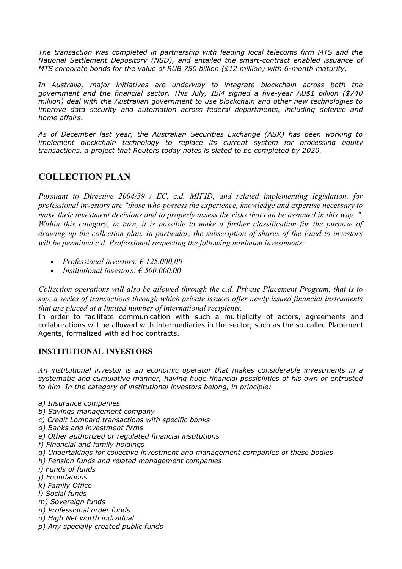*The transaction was completed in partnership with leading local telecoms firm MTS and the National Settlement Depository (NSD), and entailed the smart-contract enabled issuance of MTS corporate bonds for the value of RUB 750 billion (\$12 million) with 6-month maturity.*

*In Australia, major initiatives are underway to integrate blockchain across both the government and the financial sector. This July, IBM signed a five-year AU\$1 billion (\$740 million) deal with the Australian government to use blockchain and other new technologies to improve data security and automation across federal departments, including defense and home affairs.*

*As of December last year, the Australian Securities Exchange (ASX) has been working to implement blockchain technology to replace its current system for processing equity transactions, a project that Reuters today notes is slated to be completed by 2020.*

# **COLLECTION PLAN**

*Pursuant to Directive 2004/39 / EC, c.d. MIFID, and related implementing legislation, for professional investors are "those who possess the experience, knowledge and expertise necessary to make their investment decisions and to properly assess the risks that can be assumed in this way. ". Within this category, in turn, it is possible to make a further classification for the purpose of drawing up the collection plan. In particular, the subscription of shares of the Fund to investors will be permitted c.d. Professional respecting the following minimum investments:*

- *Professional investors: € 125.000,00*
- *Institutional investors: € 500.000,00*

*Collection operations will also be allowed through the c.d. Private Placement Program, that is to say, a series of transactions through which private issuers offer newly issued financial instruments that are placed at a limited number of international recipients.*

In order to facilitate communication with such a multiplicity of actors, agreements and collaborations will be allowed with intermediaries in the sector, such as the so-called Placement Agents, formalized with ad hoc contracts.

## **INSTITUTIONAL INVESTORS**

*An institutional investor is an economic operator that makes considerable investments in a systematic and cumulative manner, having huge financial possibilities of his own or entrusted to him. In the category of institutional investors belong, in principle:*

- *a) Insurance companies*
- *b) Savings management company*
- *c) Credit Lombard transactions with specific banks*
- *d) Banks and investment firms*
- *e) Other authorized or regulated financial institutions*
- *f) Financial and family holdings*
- *g) Undertakings for collective investment and management companies of these bodies*
- *h) Pension funds and related management companies*
- *i) Funds of funds*
- *j) Foundations*
- *k) Family Office*
- *l) Social funds*
- *m) Sovereign funds*
- *n) Professional order funds*
- *o) High Net worth individual*
- *p) Any specially created public funds*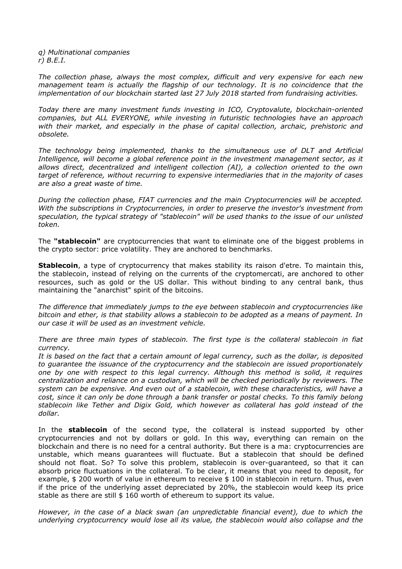*q) Multinational companies r) B.E.I.*

*The collection phase, always the most complex, difficult and very expensive for each new management team is actually the flagship of our technology. It is no coincidence that the implementation of our blockchain started last 27 July 2018 started from fundraising activities.*

*Today there are many investment funds investing in ICO, Cryptovalute, blockchain-oriented companies, but ALL EVERYONE, while investing in futuristic technologies have an approach with their market, and especially in the phase of capital collection, archaic, prehistoric and obsolete.*

*The technology being implemented, thanks to the simultaneous use of DLT and Artificial Intelligence, will become a global reference point in the investment management sector, as it allows direct, decentralized and intelligent collection (AI), a collection oriented to the own target of reference, without recurring to expensive intermediaries that in the majority of cases are also a great waste of time.*

*During the collection phase, FIAT currencies and the main Cryptocurrencies will be accepted. With the subscriptions in Cryptocurrencies, in order to preserve the investor's investment from speculation, the typical strategy of "stablecoin" will be used thanks to the issue of our unlisted token.*

The **"stablecoin"** are cryptocurrencies that want to eliminate one of the biggest problems in the crypto sector: price volatility. They are anchored to benchmarks.

**Stablecoin**, a type of cryptocurrency that makes stability its raison d'etre. To maintain this, the stablecoin, instead of relying on the currents of the cryptomercati, are anchored to other resources, such as gold or the US dollar. This without binding to any central bank, thus maintaining the "anarchist" spirit of the bitcoins.

*The difference that immediately jumps to the eye between stablecoin and cryptocurrencies like bitcoin and ether, is that stability allows a stablecoin to be adopted as a means of payment. In our case it will be used as an investment vehicle.*

*There are three main types of stablecoin. The first type is the collateral stablecoin in fiat currency.*

*It is based on the fact that a certain amount of legal currency, such as the dollar, is deposited to guarantee the issuance of the cryptocurrency and the stablecoin are issued proportionately one by one with respect to this legal currency. Although this method is solid, it requires centralization and reliance on a custodian, which will be checked periodically by reviewers. The system can be expensive. And even out of a stablecoin, with these characteristics, will have a cost, since it can only be done through a bank transfer or postal checks. To this family belong stablecoin like Tether and Digix Gold, which however as collateral has gold instead of the dollar.*

In the **stablecoin** of the second type, the collateral is instead supported by other cryptocurrencies and not by dollars or gold. In this way, everything can remain on the blockchain and there is no need for a central authority. But there is a ma: cryptocurrencies are unstable, which means guarantees will fluctuate. But a stablecoin that should be defined should not float. So? To solve this problem, stablecoin is over-guaranteed, so that it can absorb price fluctuations in the collateral. To be clear, it means that you need to deposit, for example, \$ 200 worth of value in ethereum to receive \$ 100 in stablecoin in return. Thus, even if the price of the underlying asset depreciated by 20%, the stablecoin would keep its price stable as there are still \$ 160 worth of ethereum to support its value.

*However, in the case of a black swan (an unpredictable financial event), due to which the underlying cryptocurrency would lose all its value, the stablecoin would also collapse and the*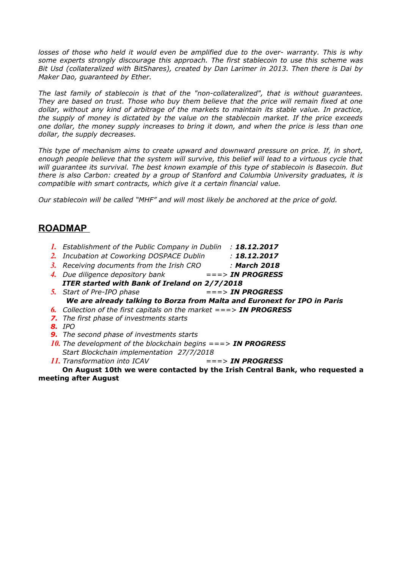*losses of those who held it would even be amplified due to the over- warranty. This is why some experts strongly discourage this approach. The first stablecoin to use this scheme was Bit Usd (collateralized with BitShares), created by Dan Larimer in 2013. Then there is Dai by Maker Dao, guaranteed by Ether.*

*The last family of stablecoin is that of the "non-collateralized", that is without guarantees. They are based on trust. Those who buy them believe that the price will remain fixed at one dollar, without any kind of arbitrage of the markets to maintain its stable value. In practice, the supply of money is dictated by the value on the stablecoin market. If the price exceeds one dollar, the money supply increases to bring it down, and when the price is less than one dollar, the supply decreases.*

*This type of mechanism aims to create upward and downward pressure on price. If, in short, enough people believe that the system will survive, this belief will lead to a virtuous cycle that will guarantee its survival. The best known example of this type of stablecoin is Basecoin. But there is also Carbon: created by a group of Stanford and Columbia University graduates, it is compatible with smart contracts, which give it a certain financial value.*

*Our stablecoin will be called "MHF" and will most likely be anchored at the price of gold.*

# **ROADMAP**

- *1. Establishment of the Public Company in Dublin : 18.12.2017*
- *2. Incubation at Coworking DOSPACE Dublin : 18.12.2017*
- *3. Receiving documents from the Irish CRO : March 2018*
- *4. Due diligence depository bank ===> IN PROGRESS*
- *ITER started with Bank of Ireland on 2/7/2018 5. Start of Pre-IPO phase ===> IN PROGRESS We are already talking to Borza from Malta and Euronext for IPO in Paris*
- *6. Collection of the first capitals on the market ===> IN PROGRESS*
- *7. The first phase of investments starts*

*8. IPO*

- *9. The second phase of investments starts*
- *10. The development of the blockchain begins ===> IN PROGRESS Start Blockchain implementation 27/7/2018*
- *11. Transformation into ICAV ===> IN PROGRESS*

**On August 10th we were contacted by the Irish Central Bank, who requested a meeting after August**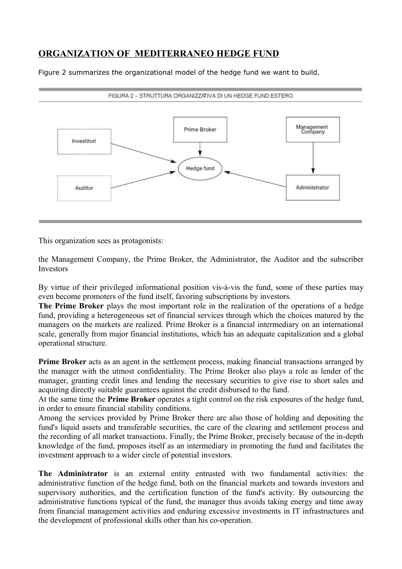# **ORGANIZATION OF MEDITERRANEO HEDGE FUND**

Figure 2 summarizes the organizational model of the hedge fund we want to build.



This organization sees as protagonists:

the Management Company, the Prime Broker, the Administrator, the Auditor and the subscriber Investors

By virtue of their privileged informational position vis-à-vis the fund, some of these parties may even become promoters of the fund itself, favoring subscriptions by investors.

**The Prime Broker** plays the most important role in the realization of the operations of a hedge fund, providing a heterogeneous set of financial services through which the choices matured by the managers on the markets are realized. Prime Broker is a financial intermediary on an international scale, generally from major financial institutions, which has an adequate capitalization and a global operational structure.

**Prime Broker** acts as an agent in the settlement process, making financial transactions arranged by the manager with the utmost confidentiality. The Prime Broker also plays a role as lender of the manager, granting credit lines and lending the necessary securities to give rise to short sales and acquiring directly suitable guarantees against the credit disbursed to the fund.

At the same time the **Prime Broker** operates a tight control on the risk exposures of the hedge fund, in order to ensure financial stability conditions.

Among the services provided by Prime Broker there are also those of holding and depositing the fund's liquid assets and transferable securities, the care of the clearing and settlement process and the recording of all market transactions. Finally, the Prime Broker, precisely because of the in-depth knowledge of the fund, proposes itself as an intermediary in promoting the fund and facilitates the investment approach to a wider circle of potential investors.

**The Administrator** is an external entity entrusted with two fundamental activities: the administrative function of the hedge fund, both on the financial markets and towards investors and supervisory authorities, and the certification function of the fund's activity. By outsourcing the administrative functions typical of the fund, the manager thus avoids taking energy and time away from financial management activities and enduring excessive investments in IT infrastructures and the development of professional skills other than his co-operation.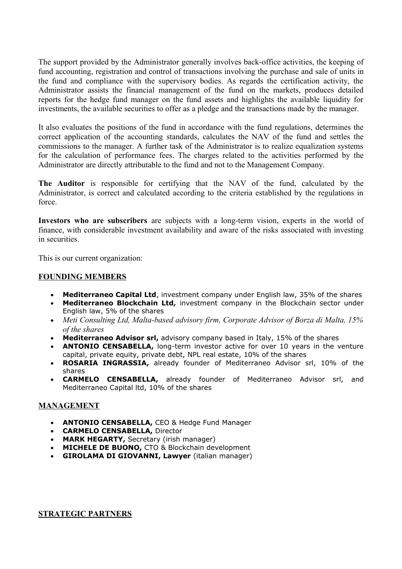The support provided by the Administrator generally involves back-office activities, the keeping of fund accounting, registration and control of transactions involving the purchase and sale of units in the fund and compliance with the supervisory bodies. As regards the certification activity, the Administrator assists the financial management of the fund on the markets, produces detailed reports for the hedge fund manager on the fund assets and highlights the available liquidity for investments, the available securities to offer as a pledge and the transactions made by the manager.

It also evaluates the positions of the fund in accordance with the fund regulations, determines the correct application of the accounting standards, calculates the NAV of the fund and settles the commissions to the manager. A further task of the Administrator is to realize equalization systems for the calculation of performance fees. The charges related to the activities performed by the Administrator are directly attributable to the fund and not to the Management Company.

**The Auditor** is responsible for certifying that the NAV of the fund, calculated by the Administrator, is correct and calculated according to the criteria established by the regulations in force.

**Investors who are subscribers** are subjects with a long-term vision, experts in the world of finance, with considerable investment availability and aware of the risks associated with investing in securities.

This is our current organization:

## **FOUNDING MEMBERS**

- **Mediterraneo Capital Ltd**, investment company under English law, 35% of the shares
- **Mediterraneo Blockchain Ltd,** investment company in the Blockchain sector under English law, 5% of the shares
- *Meti Consulting Ltd, Malta-based advisory firm, Corporate Advisor of Borza di Malta, 15% of the shares*
- **Mediterraneo Advisor srl,** advisory company based in Italy, 15% of the shares
- **ANTONIO CENSABELLA,** long-term investor active for over 10 years in the venture capital, private equity, private debt, NPL real estate, 10% of the shares
- **ROSARIA INGRASSIA,** already founder of Mediterraneo Advisor srl, 10% of the shares
- **CARMELO CENSABELLA,** already founder of Mediterraneo Advisor srl, and Mediterraneo Capital ltd, 10% of the shares

## **MANAGEMENT**

- **ANTONIO CENSABELLA,** CEO & Hedge Fund Manager
- **CARMELO CENSABELLA,** Director
- **MARK HEGARTY,** Secretary (irish manager)
- **MICHELE DE BUONO,** CTO & Blockchain development
- **GIROLAMA DI GIOVANNI, Lawyer** (italian manager)

**STRATEGIC PARTNERS**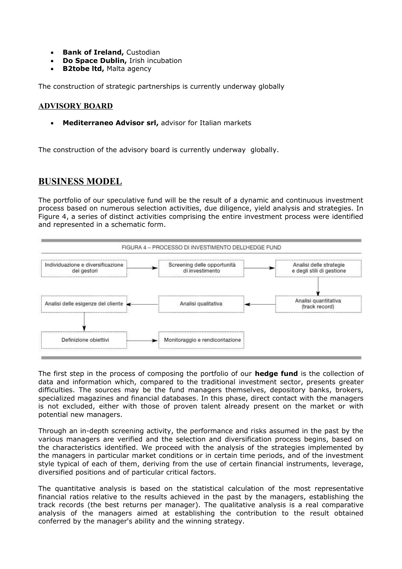- **Bank of Ireland, Custodian**
- **Do Space Dublin,** Irish incubation
- **B2tobe ltd,** Malta agency

The construction of strategic partnerships is currently underway globally

## **ADVISORY BOARD**

**Mediterraneo Advisor srl,** advisor for Italian markets

The construction of the advisory board is currently underway globally.

## **BUSINESS MODEL**

The portfolio of our speculative fund will be the result of a dynamic and continuous investment process based on numerous selection activities, due diligence, yield analysis and strategies. In Figure 4, a series of distinct activities comprising the entire investment process were identified and represented in a schematic form.



The first step in the process of composing the portfolio of our **hedge fund** is the collection of data and information which, compared to the traditional investment sector, presents greater difficulties. The sources may be the fund managers themselves, depository banks, brokers, specialized magazines and financial databases. In this phase, direct contact with the managers is not excluded, either with those of proven talent already present on the market or with potential new managers.

Through an in-depth screening activity, the performance and risks assumed in the past by the various managers are verified and the selection and diversification process begins, based on the characteristics identified. We proceed with the analysis of the strategies implemented by the managers in particular market conditions or in certain time periods, and of the investment style typical of each of them, deriving from the use of certain financial instruments, leverage, diversified positions and of particular critical factors.

The quantitative analysis is based on the statistical calculation of the most representative financial ratios relative to the results achieved in the past by the managers, establishing the track records (the best returns per manager). The qualitative analysis is a real comparative analysis of the managers aimed at establishing the contribution to the result obtained conferred by the manager's ability and the winning strategy.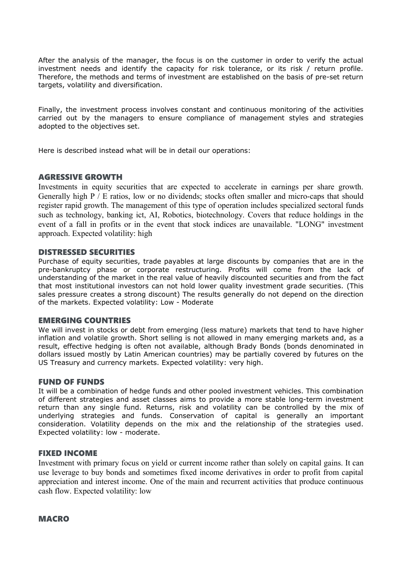After the analysis of the manager, the focus is on the customer in order to verify the actual investment needs and identify the capacity for risk tolerance, or its risk / return profile. Therefore, the methods and terms of investment are established on the basis of pre-set return targets, volatility and diversification.

Finally, the investment process involves constant and continuous monitoring of the activities carried out by the managers to ensure compliance of management styles and strategies adopted to the objectives set.

Here is described instead what will be in detail our operations:

## AGRESSIVE GROWTH

Investments in equity securities that are expected to accelerate in earnings per share growth. Generally high P / E ratios, low or no dividends; stocks often smaller and micro-caps that should register rapid growth. The management of this type of operation includes specialized sectoral funds such as technology, banking ict, AI, Robotics, biotechnology. Covers that reduce holdings in the event of a fall in profits or in the event that stock indices are unavailable. "LONG" investment approach. Expected volatility: high

## DISTRESSED SECURITIES

Purchase of equity securities, trade payables at large discounts by companies that are in the pre-bankruptcy phase or corporate restructuring. Profits will come from the lack of understanding of the market in the real value of heavily discounted securities and from the fact that most institutional investors can not hold lower quality investment grade securities. (This sales pressure creates a strong discount) The results generally do not depend on the direction of the markets. Expected volatility: Low - Moderate

## EMERGING COUNTRIES

We will invest in stocks or debt from emerging (less mature) markets that tend to have higher inflation and volatile growth. Short selling is not allowed in many emerging markets and, as a result, effective hedging is often not available, although Brady Bonds (bonds denominated in dollars issued mostly by Latin American countries) may be partially covered by futures on the US Treasury and currency markets. Expected volatility: very high.

#### FUND OF FUNDS

It will be a combination of hedge funds and other pooled investment vehicles. This combination of different strategies and asset classes aims to provide a more stable long-term investment return than any single fund. Returns, risk and volatility can be controlled by the mix of underlying strategies and funds. Conservation of capital is generally an important consideration. Volatility depends on the mix and the relationship of the strategies used. Expected volatility: low - moderate.

## FIXED INCOME

Investment with primary focus on yield or current income rather than solely on capital gains. It can use leverage to buy bonds and sometimes fixed income derivatives in order to profit from capital appreciation and interest income. One of the main and recurrent activities that produce continuous cash flow. Expected volatility: low

MACRO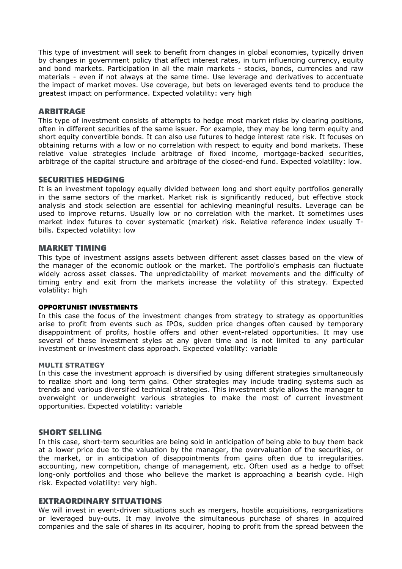This type of investment will seek to benefit from changes in global economies, typically driven by changes in government policy that affect interest rates, in turn influencing currency, equity and bond markets. Participation in all the main markets - stocks, bonds, currencies and raw materials - even if not always at the same time. Use leverage and derivatives to accentuate the impact of market moves. Use coverage, but bets on leveraged events tend to produce the greatest impact on performance. Expected volatility: very high

#### ARBITRAGE

This type of investment consists of attempts to hedge most market risks by clearing positions, often in different securities of the same issuer. For example, they may be long term equity and short equity convertible bonds. It can also use futures to hedge interest rate risk. It focuses on obtaining returns with a low or no correlation with respect to equity and bond markets. These relative value strategies include arbitrage of fixed income, mortgage-backed securities, arbitrage of the capital structure and arbitrage of the closed-end fund. Expected volatility: low.

#### SECURITIES HEDGING

It is an investment topology equally divided between long and short equity portfolios generally in the same sectors of the market. Market risk is significantly reduced, but effective stock analysis and stock selection are essential for achieving meaningful results. Leverage can be used to improve returns. Usually low or no correlation with the market. It sometimes uses market index futures to cover systematic (market) risk. Relative reference index usually Tbills. Expected volatility: low

#### MARKET TIMING

This type of investment assigns assets between different asset classes based on the view of the manager of the economic outlook or the market. The portfolio's emphasis can fluctuate widely across asset classes. The unpredictability of market movements and the difficulty of timing entry and exit from the markets increase the volatility of this strategy. Expected volatility: high

#### OPPORTUNIST INVESTMENTS

In this case the focus of the investment changes from strategy to strategy as opportunities arise to profit from events such as IPOs, sudden price changes often caused by temporary disappointment of profits, hostile offers and other event-related opportunities. It may use several of these investment styles at any given time and is not limited to any particular investment or investment class approach. Expected volatility: variable

#### **MULTI STRATEGY**

In this case the investment approach is diversified by using different strategies simultaneously to realize short and long term gains. Other strategies may include trading systems such as trends and various diversified technical strategies. This investment style allows the manager to overweight or underweight various strategies to make the most of current investment opportunities. Expected volatility: variable

#### SHORT SELLING

In this case, short-term securities are being sold in anticipation of being able to buy them back at a lower price due to the valuation by the manager, the overvaluation of the securities, or the market, or in anticipation of disappointments from gains often due to irregularities. accounting, new competition, change of management, etc. Often used as a hedge to offset long-only portfolios and those who believe the market is approaching a bearish cycle. High risk. Expected volatility: very high.

#### EXTRAORDINARY SITUATIONS

We will invest in event-driven situations such as mergers, hostile acquisitions, reorganizations or leveraged buy-outs. It may involve the simultaneous purchase of shares in acquired companies and the sale of shares in its acquirer, hoping to profit from the spread between the